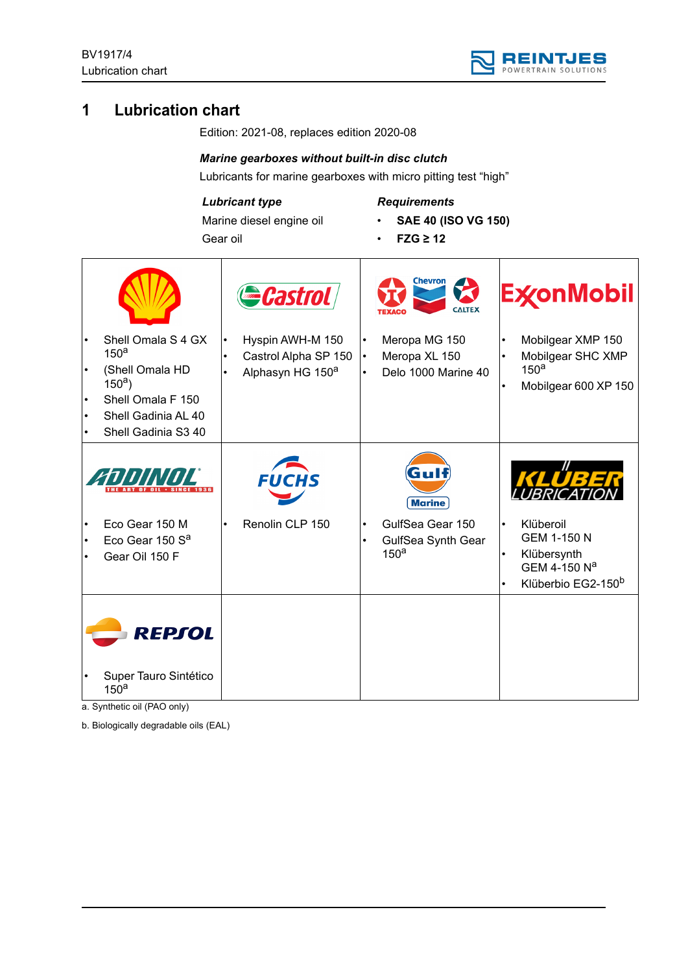

# **1 Lubrication chart**

Edition: 2021-08, replaces edition 2020-08

#### *Marine gearboxes without built-in disc clutch*

Lubricants for marine gearboxes with micro pitting test "high"

#### *Lubricant type*

Marine diesel engine oil Gear oil

# *Requirements*

- **SAE 40 (ISO VG 150)**
- **FZG ≥ 12**

|                                                                                            |           | Gastrol                                                                  |                                     | Chevron<br><b>CALTEX</b>                                   |                                     | <b>ExconMobil</b>                                                                                |
|--------------------------------------------------------------------------------------------|-----------|--------------------------------------------------------------------------|-------------------------------------|------------------------------------------------------------|-------------------------------------|--------------------------------------------------------------------------------------------------|
| Shell Omala S 4 GX<br>150 <sup>a</sup><br>(Shell Omala HD<br>$150a$ )<br>Shell Omala F 150 | $\bullet$ | Hyspin AWH-M 150<br>Castrol Alpha SP 150<br>Alphasyn HG 150 <sup>a</sup> | $\bullet$<br>$\bullet$<br>$\bullet$ | Meropa MG 150<br>Meropa XL 150<br>Delo 1000 Marine 40      | $\bullet$                           | Mobilgear XMP 150<br>Mobilgear SHC XMP<br>150 <sup>a</sup><br>Mobilgear 600 XP 150               |
| Shell Gadinia AL 40<br>Shell Gadinia S3 40                                                 |           |                                                                          |                                     |                                                            |                                     |                                                                                                  |
|                                                                                            |           | <i>FUCHS</i>                                                             |                                     | Gulf<br><b>Marine</b>                                      |                                     | KLUBE                                                                                            |
| Eco Gear 150 M<br>Eco Gear 150 S <sup>a</sup><br>Gear Oil 150 F                            | $\bullet$ | Renolin CLP 150                                                          | $\bullet$<br>$\bullet$              | GulfSea Gear 150<br>GulfSea Synth Gear<br>150 <sup>a</sup> | $\bullet$<br>$\bullet$<br>$\bullet$ | Klüberoil<br><b>GEM 1-150 N</b><br>Klübersynth<br>GEM 4-150 Na<br>Klüberbio EG2-150 <sup>b</sup> |
| REPSOL                                                                                     |           |                                                                          |                                     |                                                            |                                     |                                                                                                  |
| Super Tauro Sintético<br>150 <sup>a</sup>                                                  |           |                                                                          |                                     |                                                            |                                     |                                                                                                  |

a. Synthetic oil (PAO only)

b. Biologically degradable oils (EAL)